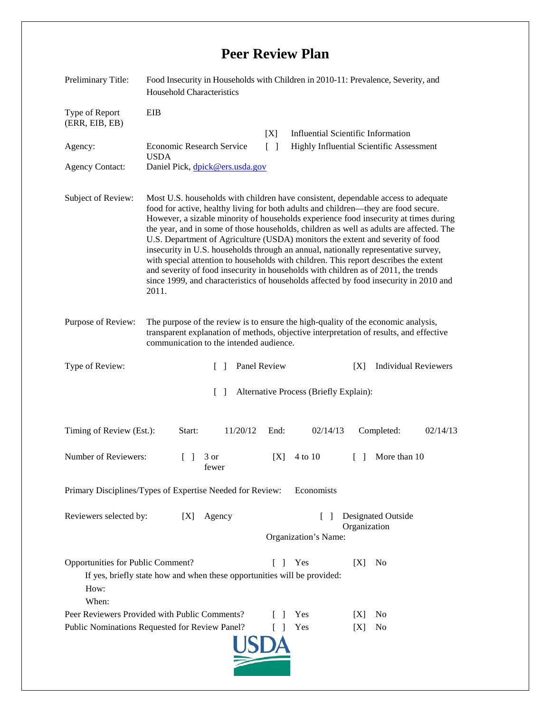## **Peer Review Plan**

| Preliminary Title:                                                                                                                                                  | Food Insecurity in Households with Children in 2010-11: Prevalence, Severity, and<br><b>Household Characteristics</b>                                                                                                                                                                                                                                                                                                                                                                                                                                                                                                                                                                                                                                                                                              |                                      |                                                                                       |
|---------------------------------------------------------------------------------------------------------------------------------------------------------------------|--------------------------------------------------------------------------------------------------------------------------------------------------------------------------------------------------------------------------------------------------------------------------------------------------------------------------------------------------------------------------------------------------------------------------------------------------------------------------------------------------------------------------------------------------------------------------------------------------------------------------------------------------------------------------------------------------------------------------------------------------------------------------------------------------------------------|--------------------------------------|---------------------------------------------------------------------------------------|
| Type of Report<br>(ERR, EIB, EB)<br>Agency:<br><b>Agency Contact:</b>                                                                                               | EIB<br>Economic Research Service<br><b>USDA</b><br>Daniel Pick, dpick@ers.usda.gov                                                                                                                                                                                                                                                                                                                                                                                                                                                                                                                                                                                                                                                                                                                                 | [X]<br>$\lceil \; \rceil$            | <b>Influential Scientific Information</b><br>Highly Influential Scientific Assessment |
| Subject of Review:                                                                                                                                                  | Most U.S. households with children have consistent, dependable access to adequate<br>food for active, healthy living for both adults and children—they are food secure.<br>However, a sizable minority of households experience food insecurity at times during<br>the year, and in some of those households, children as well as adults are affected. The<br>U.S. Department of Agriculture (USDA) monitors the extent and severity of food<br>insecurity in U.S. households through an annual, nationally representative survey,<br>with special attention to households with children. This report describes the extent<br>and severity of food insecurity in households with children as of 2011, the trends<br>since 1999, and characteristics of households affected by food insecurity in 2010 and<br>2011. |                                      |                                                                                       |
| Purpose of Review:                                                                                                                                                  | The purpose of the review is to ensure the high-quality of the economic analysis,<br>transparent explanation of methods, objective interpretation of results, and effective<br>communication to the intended audience.                                                                                                                                                                                                                                                                                                                                                                                                                                                                                                                                                                                             |                                      |                                                                                       |
| Type of Review:                                                                                                                                                     | Panel Review<br>$\Box$                                                                                                                                                                                                                                                                                                                                                                                                                                                                                                                                                                                                                                                                                                                                                                                             |                                      | <b>Individual Reviewers</b><br>[X]                                                    |
| $\lceil \rceil$<br>Alternative Process (Briefly Explain):                                                                                                           |                                                                                                                                                                                                                                                                                                                                                                                                                                                                                                                                                                                                                                                                                                                                                                                                                    |                                      |                                                                                       |
| Timing of Review (Est.):                                                                                                                                            | Start:<br>11/20/12                                                                                                                                                                                                                                                                                                                                                                                                                                                                                                                                                                                                                                                                                                                                                                                                 | 02/14/13<br>End:                     | Completed:<br>02/14/13                                                                |
| Number of Reviewers:                                                                                                                                                | 3 or<br>fewer                                                                                                                                                                                                                                                                                                                                                                                                                                                                                                                                                                                                                                                                                                                                                                                                      | 4 to 10<br>[X]                       | More than 10<br>$\Box$                                                                |
| Primary Disciplines/Types of Expertise Needed for Review:<br>Economists                                                                                             |                                                                                                                                                                                                                                                                                                                                                                                                                                                                                                                                                                                                                                                                                                                                                                                                                    |                                      |                                                                                       |
| Reviewers selected by:                                                                                                                                              | Agency<br>[X]                                                                                                                                                                                                                                                                                                                                                                                                                                                                                                                                                                                                                                                                                                                                                                                                      | $\mathbf{I}$<br>Organization's Name: | Designated Outside<br>Organization                                                    |
| Opportunities for Public Comment?<br>Yes<br>[X]<br>N <sub>0</sub><br>L<br>If yes, briefly state how and when these opportunities will be provided:<br>How:<br>When: |                                                                                                                                                                                                                                                                                                                                                                                                                                                                                                                                                                                                                                                                                                                                                                                                                    |                                      |                                                                                       |
| Peer Reviewers Provided with Public Comments?<br><b>Yes</b><br>N <sub>0</sub><br>[X]<br>Public Nominations Requested for Review Panel?<br>Yes<br>No<br>[X]          |                                                                                                                                                                                                                                                                                                                                                                                                                                                                                                                                                                                                                                                                                                                                                                                                                    |                                      |                                                                                       |